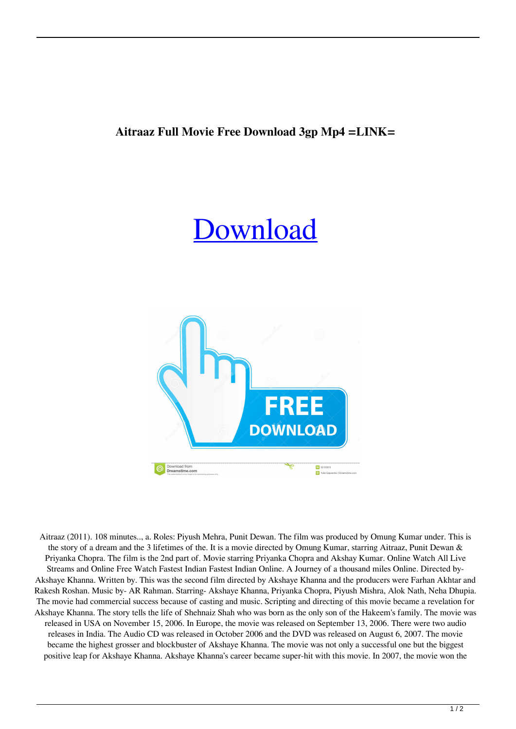## **Aitraaz Full Movie Free Download 3gp Mp4 =LINK=**

## [Download](https://byltly.com/2kzv6y)



Aitraaz (2011). 108 minutes.., a. Roles: Piyush Mehra, Punit Dewan. The film was produced by Omung Kumar under. This is the story of a dream and the 3 lifetimes of the. It is a movie directed by Omung Kumar, starring Aitraaz, Punit Dewan & Priyanka Chopra. The film is the 2nd part of. Movie starring Priyanka Chopra and Akshay Kumar. Online Watch All Live Streams and Online Free Watch Fastest Indian Fastest Indian Online. A Journey of a thousand miles Online. Directed by-Akshaye Khanna. Written by. This was the second film directed by Akshaye Khanna and the producers were Farhan Akhtar and Rakesh Roshan. Music by- AR Rahman. Starring- Akshaye Khanna, Priyanka Chopra, Piyush Mishra, Alok Nath, Neha Dhupia. The movie had commercial success because of casting and music. Scripting and directing of this movie became a revelation for Akshaye Khanna. The story tells the life of Shehnaiz Shah who was born as the only son of the Hakeem's family. The movie was released in USA on November 15, 2006. In Europe, the movie was released on September 13, 2006. There were two audio releases in India. The Audio CD was released in October 2006 and the DVD was released on August 6, 2007. The movie became the highest grosser and blockbuster of Akshaye Khanna. The movie was not only a successful one but the biggest positive leap for Akshaye Khanna. Akshaye Khanna's career became super-hit with this movie. In 2007, the movie won the